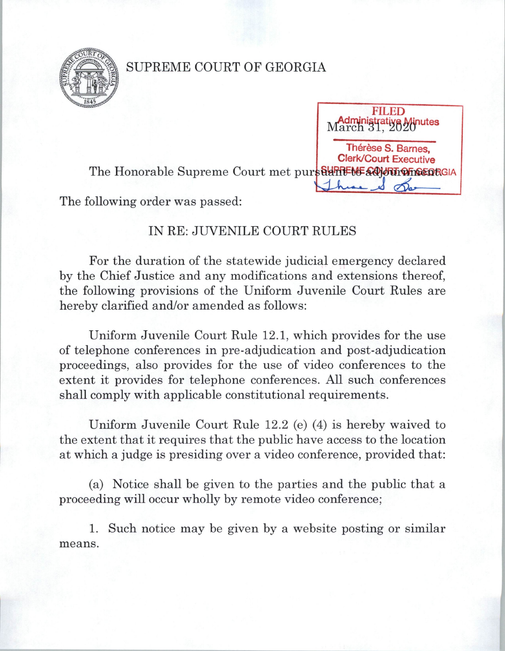

## SUPREME COURT OF GEORGIA

The Honorable Supreme Court met pur**such the severificance** 

The following order was passed:

## IN RE: JUVENILE COURT RULES

FILED<br>March 31, 2020

Thérèse S. Barnes, Clerk/Court Executive

For the duration of the statewide judicial emergency declared by the Chief Justice and any modifications and extensions thereof, the following provisions of the Uniform Juvenile Court Rules are hereby clarified and/or amended as follows:

Uniform Juvenile Court Rule 12.1, which provides for the use of telephone conferences in pre-adjudication and post-adjudication proceedings, also provides for the use of video conferences to the extent it provides for telephone conferences. All such conferences shall comply with applicable constitutional requirements.

Uniform Juvenile Court Rule 12.2 (e) (4) is hereby waived to the extent that it requires that the public have access to the location at which a judge is presiding over a video conference, provided that:

(a) Notice shall be given to the parties and the public that a proceeding will occur wholly by remote video conference;

1. Such notice may be given by a website posting or similar means.